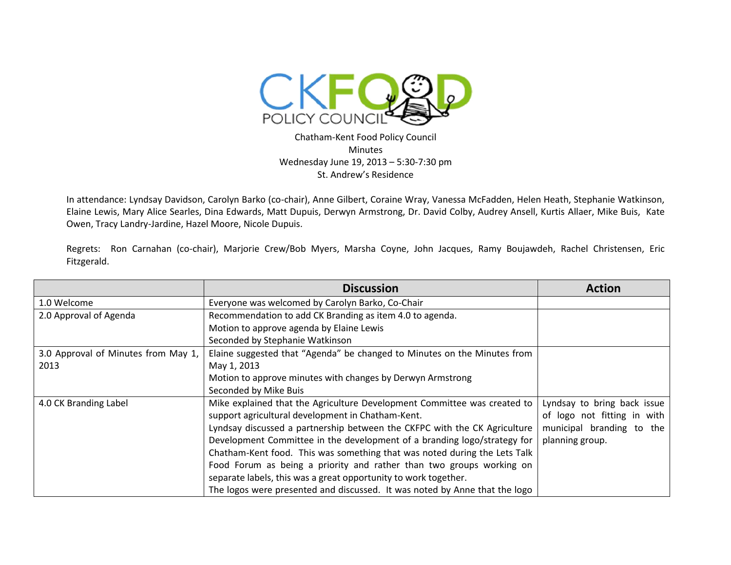

Chatham-Kent Food Policy Council Minutes Wednesday June 19, 2013 – 5:30-7:30 pm St. Andrew's Residence

In attendance: Lyndsay Davidson, Carolyn Barko (co-chair), Anne Gilbert, Coraine Wray, Vanessa McFadden, Helen Heath, Stephanie Watkinson, Elaine Lewis, Mary Alice Searles, Dina Edwards, Matt Dupuis, Derwyn Armstrong, Dr. David Colby, Audrey Ansell, Kurtis Allaer, Mike Buis, Kate Owen, Tracy Landry-Jardine, Hazel Moore, Nicole Dupuis.

Regrets: Ron Carnahan (co-chair), Marjorie Crew/Bob Myers, Marsha Coyne, John Jacques, Ramy Boujawdeh, Rachel Christensen, Eric Fitzgerald.

|                                     | <b>Discussion</b>                                                          | <b>Action</b>               |
|-------------------------------------|----------------------------------------------------------------------------|-----------------------------|
| 1.0 Welcome                         | Everyone was welcomed by Carolyn Barko, Co-Chair                           |                             |
| 2.0 Approval of Agenda              | Recommendation to add CK Branding as item 4.0 to agenda.                   |                             |
|                                     | Motion to approve agenda by Elaine Lewis                                   |                             |
|                                     | Seconded by Stephanie Watkinson                                            |                             |
| 3.0 Approval of Minutes from May 1, | Elaine suggested that "Agenda" be changed to Minutes on the Minutes from   |                             |
| 2013                                | May 1, 2013                                                                |                             |
|                                     | Motion to approve minutes with changes by Derwyn Armstrong                 |                             |
|                                     | Seconded by Mike Buis                                                      |                             |
| 4.0 CK Branding Label               | Mike explained that the Agriculture Development Committee was created to   | Lyndsay to bring back issue |
|                                     | support agricultural development in Chatham-Kent.                          | of logo not fitting in with |
|                                     | Lyndsay discussed a partnership between the CKFPC with the CK Agriculture  | municipal branding to the   |
|                                     | Development Committee in the development of a branding logo/strategy for   | planning group.             |
|                                     | Chatham-Kent food. This was something that was noted during the Lets Talk  |                             |
|                                     | Food Forum as being a priority and rather than two groups working on       |                             |
|                                     | separate labels, this was a great opportunity to work together.            |                             |
|                                     | The logos were presented and discussed. It was noted by Anne that the logo |                             |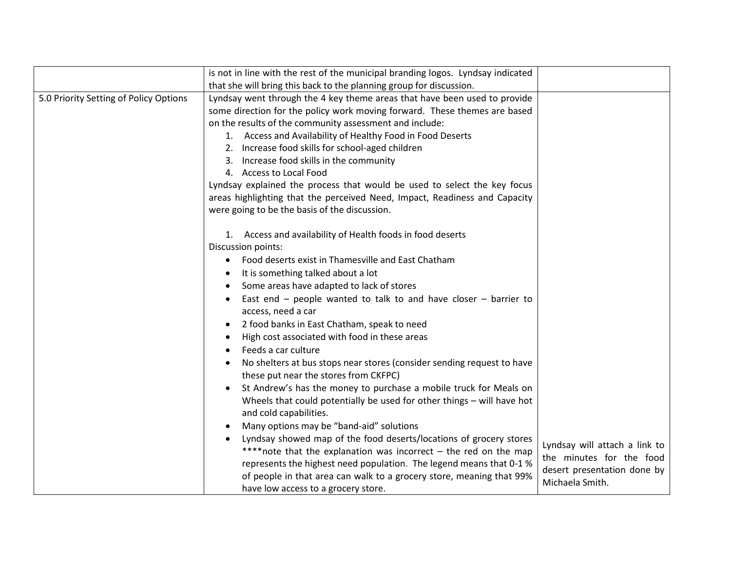|                                        | is not in line with the rest of the municipal branding logos. Lyndsay indicated                                 |                                                           |
|----------------------------------------|-----------------------------------------------------------------------------------------------------------------|-----------------------------------------------------------|
|                                        | that she will bring this back to the planning group for discussion.                                             |                                                           |
| 5.0 Priority Setting of Policy Options | Lyndsay went through the 4 key theme areas that have been used to provide                                       |                                                           |
|                                        | some direction for the policy work moving forward. These themes are based                                       |                                                           |
|                                        | on the results of the community assessment and include:                                                         |                                                           |
|                                        | 1. Access and Availability of Healthy Food in Food Deserts                                                      |                                                           |
|                                        | 2. Increase food skills for school-aged children                                                                |                                                           |
|                                        | 3. Increase food skills in the community                                                                        |                                                           |
|                                        | 4. Access to Local Food                                                                                         |                                                           |
|                                        | Lyndsay explained the process that would be used to select the key focus                                        |                                                           |
|                                        | areas highlighting that the perceived Need, Impact, Readiness and Capacity                                      |                                                           |
|                                        | were going to be the basis of the discussion.                                                                   |                                                           |
|                                        | 1. Access and availability of Health foods in food deserts                                                      |                                                           |
|                                        | Discussion points:                                                                                              |                                                           |
|                                        | Food deserts exist in Thamesville and East Chatham<br>$\bullet$                                                 |                                                           |
|                                        | It is something talked about a lot                                                                              |                                                           |
|                                        | Some areas have adapted to lack of stores                                                                       |                                                           |
|                                        | East end $-$ people wanted to talk to and have closer $-$ barrier to<br>access, need a car                      |                                                           |
|                                        | 2 food banks in East Chatham, speak to need                                                                     |                                                           |
|                                        | High cost associated with food in these areas                                                                   |                                                           |
|                                        | Feeds a car culture                                                                                             |                                                           |
|                                        | No shelters at bus stops near stores (consider sending request to have<br>these put near the stores from CKFPC) |                                                           |
|                                        | St Andrew's has the money to purchase a mobile truck for Meals on                                               |                                                           |
|                                        | Wheels that could potentially be used for other things - will have hot<br>and cold capabilities.                |                                                           |
|                                        | Many options may be "band-aid" solutions                                                                        |                                                           |
|                                        | Lyndsay showed map of the food deserts/locations of grocery stores                                              |                                                           |
|                                        | **** note that the explanation was incorrect - the red on the map                                               | Lyndsay will attach a link to<br>the minutes for the food |
|                                        | represents the highest need population. The legend means that 0-1 %                                             | desert presentation done by                               |
|                                        | of people in that area can walk to a grocery store, meaning that 99%                                            | Michaela Smith.                                           |
|                                        | have low access to a grocery store.                                                                             |                                                           |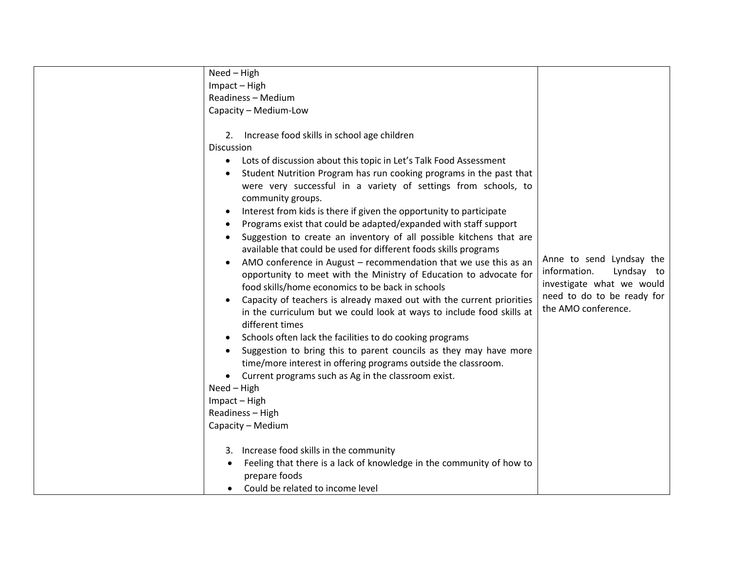|                   | Need - High                                                           |                            |
|-------------------|-----------------------------------------------------------------------|----------------------------|
|                   | Impact - High                                                         |                            |
|                   | Readiness - Medium                                                    |                            |
|                   | Capacity - Medium-Low                                                 |                            |
|                   |                                                                       |                            |
| 2.                | Increase food skills in school age children                           |                            |
| <b>Discussion</b> |                                                                       |                            |
| $\bullet$         | Lots of discussion about this topic in Let's Talk Food Assessment     |                            |
|                   | Student Nutrition Program has run cooking programs in the past that   |                            |
|                   | were very successful in a variety of settings from schools, to        |                            |
|                   | community groups.                                                     |                            |
| $\bullet$         | Interest from kids is there if given the opportunity to participate   |                            |
|                   | Programs exist that could be adapted/expanded with staff support      |                            |
|                   | Suggestion to create an inventory of all possible kitchens that are   |                            |
|                   | available that could be used for different foods skills programs      |                            |
| $\bullet$         | AMO conference in August - recommendation that we use this as an      | Anne to send Lyndsay the   |
|                   | opportunity to meet with the Ministry of Education to advocate for    | information.<br>Lyndsay to |
|                   | food skills/home economics to be back in schools                      | investigate what we would  |
|                   | Capacity of teachers is already maxed out with the current priorities | need to do to be ready for |
|                   | in the curriculum but we could look at ways to include food skills at | the AMO conference.        |
|                   | different times                                                       |                            |
|                   | Schools often lack the facilities to do cooking programs              |                            |
|                   | Suggestion to bring this to parent councils as they may have more     |                            |
|                   | time/more interest in offering programs outside the classroom.        |                            |
|                   | Current programs such as Ag in the classroom exist.                   |                            |
|                   | Need - High                                                           |                            |
|                   | Impact - High                                                         |                            |
|                   | Readiness - High                                                      |                            |
|                   | Capacity - Medium                                                     |                            |
|                   |                                                                       |                            |
|                   | 3. Increase food skills in the community                              |                            |
|                   | Feeling that there is a lack of knowledge in the community of how to  |                            |
|                   | prepare foods                                                         |                            |
|                   | Could be related to income level                                      |                            |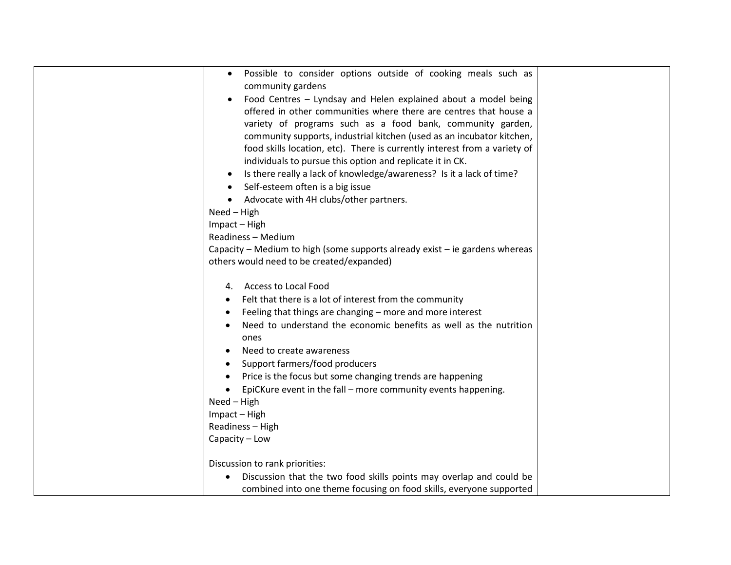| Possible to consider options outside of cooking meals such as<br>$\bullet$  |  |
|-----------------------------------------------------------------------------|--|
| community gardens                                                           |  |
| Food Centres - Lyndsay and Helen explained about a model being              |  |
| offered in other communities where there are centres that house a           |  |
| variety of programs such as a food bank, community garden,                  |  |
| community supports, industrial kitchen (used as an incubator kitchen,       |  |
| food skills location, etc). There is currently interest from a variety of   |  |
| individuals to pursue this option and replicate it in CK.                   |  |
| Is there really a lack of knowledge/awareness? Is it a lack of time?        |  |
| Self-esteem often is a big issue                                            |  |
| Advocate with 4H clubs/other partners.<br>$\bullet$                         |  |
| Need - High                                                                 |  |
| Impact - High                                                               |  |
| Readiness - Medium                                                          |  |
| Capacity – Medium to high (some supports already exist – ie gardens whereas |  |
| others would need to be created/expanded)                                   |  |
|                                                                             |  |
| 4. Access to Local Food                                                     |  |
| Felt that there is a lot of interest from the community                     |  |
| Feeling that things are changing - more and more interest                   |  |
| Need to understand the economic benefits as well as the nutrition           |  |
| ones                                                                        |  |
| Need to create awareness                                                    |  |
| Support farmers/food producers                                              |  |
| Price is the focus but some changing trends are happening                   |  |
| EpiCKure event in the fall - more community events happening.               |  |
| Need - High                                                                 |  |
| Impact - High                                                               |  |
| Readiness - High                                                            |  |
| Capacity - Low                                                              |  |
|                                                                             |  |
| Discussion to rank priorities:                                              |  |
| Discussion that the two food skills points may overlap and could be         |  |
| combined into one theme focusing on food skills, everyone supported         |  |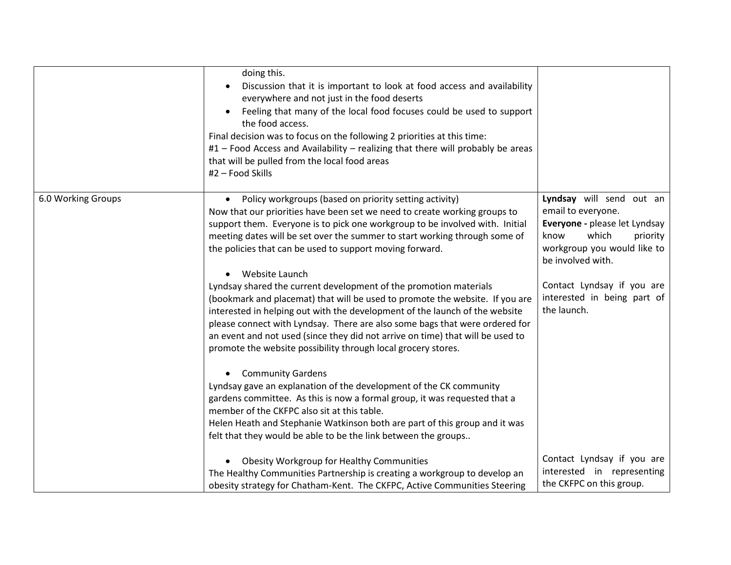|                    | doing this.<br>Discussion that it is important to look at food access and availability<br>$\bullet$<br>everywhere and not just in the food deserts<br>Feeling that many of the local food focuses could be used to support<br>the food access.<br>Final decision was to focus on the following 2 priorities at this time:<br>#1 - Food Access and Availability - realizing that there will probably be areas<br>that will be pulled from the local food areas<br>#2 - Food Skills                                                                                                                                                                                                                                                                                                                                                                                                                                                                       |                                                                                                                                                                                                                                              |
|--------------------|---------------------------------------------------------------------------------------------------------------------------------------------------------------------------------------------------------------------------------------------------------------------------------------------------------------------------------------------------------------------------------------------------------------------------------------------------------------------------------------------------------------------------------------------------------------------------------------------------------------------------------------------------------------------------------------------------------------------------------------------------------------------------------------------------------------------------------------------------------------------------------------------------------------------------------------------------------|----------------------------------------------------------------------------------------------------------------------------------------------------------------------------------------------------------------------------------------------|
| 6.0 Working Groups | Policy workgroups (based on priority setting activity)<br>Now that our priorities have been set we need to create working groups to<br>support them. Everyone is to pick one workgroup to be involved with. Initial<br>meeting dates will be set over the summer to start working through some of<br>the policies that can be used to support moving forward.<br>Website Launch<br>Lyndsay shared the current development of the promotion materials<br>(bookmark and placemat) that will be used to promote the website. If you are<br>interested in helping out with the development of the launch of the website<br>please connect with Lyndsay. There are also some bags that were ordered for<br>an event and not used (since they did not arrive on time) that will be used to<br>promote the website possibility through local grocery stores.<br><b>Community Gardens</b><br>Lyndsay gave an explanation of the development of the CK community | Lyndsay will send out an<br>email to everyone.<br>Everyone - please let Lyndsay<br>which<br>know<br>priority<br>workgroup you would like to<br>be involved with.<br>Contact Lyndsay if you are<br>interested in being part of<br>the launch. |
|                    | gardens committee. As this is now a formal group, it was requested that a<br>member of the CKFPC also sit at this table.<br>Helen Heath and Stephanie Watkinson both are part of this group and it was<br>felt that they would be able to be the link between the groups                                                                                                                                                                                                                                                                                                                                                                                                                                                                                                                                                                                                                                                                                |                                                                                                                                                                                                                                              |
|                    | <b>Obesity Workgroup for Healthy Communities</b><br>The Healthy Communities Partnership is creating a workgroup to develop an<br>obesity strategy for Chatham-Kent. The CKFPC, Active Communities Steering                                                                                                                                                                                                                                                                                                                                                                                                                                                                                                                                                                                                                                                                                                                                              | Contact Lyndsay if you are<br>interested in representing<br>the CKFPC on this group.                                                                                                                                                         |